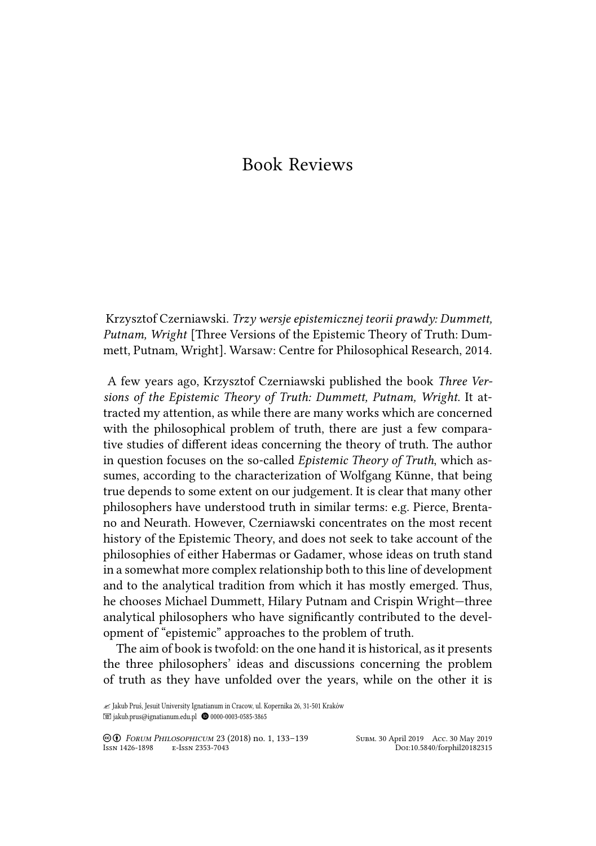## Book Reviews

Krzysztof Czerniawski. *Trzy wersje epistemicznej teorii prawdy: Dummett, Putnam, Wright* [Three Versions of the Epistemic Theory of Truth: Dummett, Putnam, Wright]. Warsaw: Centre for Philosophical Research, 2014.

A few years ago, Krzysztof Czerniawski published the book *Three Versions of the Epistemic Theory of Truth: Dummett, Putnam, Wright*. It attracted my attention, as while there are many works which are concerned with the philosophical problem of truth, there are just a few comparative studies of different ideas concerning the theory of truth. The author in question focuses on the so-called *Epistemic Theory of Truth*, which assumes, according to the characterization of Wolfgang Künne, that being true depends to some extent on our judgement. It is clear that many other philosophers have understood truth in similar terms: e.g. Pierce, Brentano and Neurath. However, Czerniawski concentrates on the most recent history of the Epistemic Theory, and does not seek to take account of the philosophies of either Habermas or Gadamer, whose ideas on truth stand in a somewhat more complex relationship both to this line of development and to the analytical tradition from which it has mostly emerged. Thus, he chooses Michael Dummett, Hilary Putnam and Crispin Wright—three analytical philosophers who have significantly contributed to the development of "epistemic" approaches to the problem of truth.

The aim of book is twofold: on the one hand it is historical, as it presents the three philosophers' ideas and discussions concerning the problem of truth as they have unfolded over the years, while on the other it is

<sup>✍</sup> Jakub Pruś, Jesuit University Ignatianum in Cracow, ul. Kopernika 26, 31-501 Kraków jakub.prus@ignatianum.edu.pl 0000-0003-0585-3865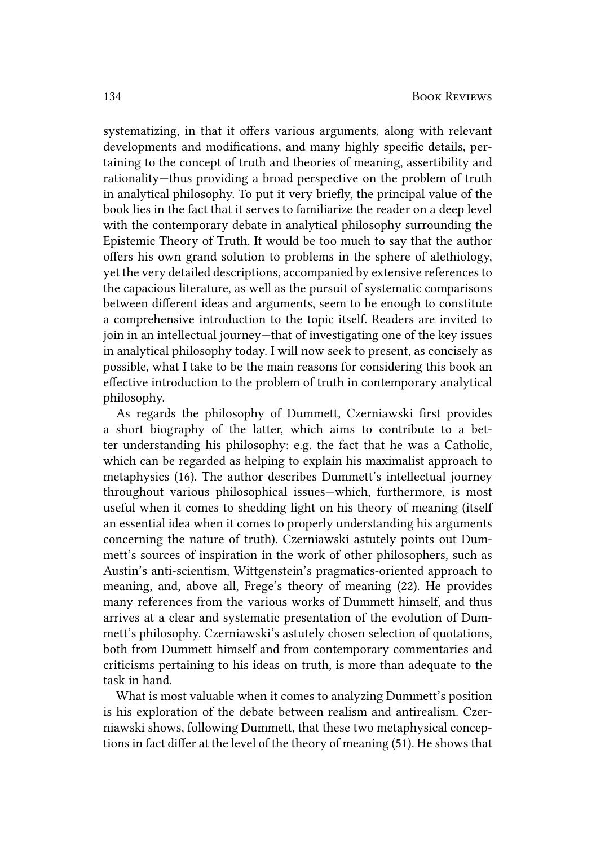systematizing, in that it offers various arguments, along with relevant developments and modifications, and many highly specific details, pertaining to the concept of truth and theories of meaning, assertibility and rationality—thus providing a broad perspective on the problem of truth in analytical philosophy. To put it very briefly, the principal value of the book lies in the fact that it serves to familiarize the reader on a deep level with the contemporary debate in analytical philosophy surrounding the Epistemic Theory of Truth. It would be too much to say that the author offers his own grand solution to problems in the sphere of alethiology, yet the very detailed descriptions, accompanied by extensive references to the capacious literature, as well as the pursuit of systematic comparisons between different ideas and arguments, seem to be enough to constitute a comprehensive introduction to the topic itself. Readers are invited to join in an intellectual journey—that of investigating one of the key issues in analytical philosophy today. I will now seek to present, as concisely as possible, what I take to be the main reasons for considering this book an effective introduction to the problem of truth in contemporary analytical philosophy.

As regards the philosophy of Dummett, Czerniawski first provides a short biography of the latter, which aims to contribute to a better understanding his philosophy: e.g. the fact that he was a Catholic, which can be regarded as helping to explain his maximalist approach to metaphysics (16). The author describes Dummett's intellectual journey throughout various philosophical issues—which, furthermore, is most useful when it comes to shedding light on his theory of meaning (itself an essential idea when it comes to properly understanding his arguments concerning the nature of truth). Czerniawski astutely points out Dummett's sources of inspiration in the work of other philosophers, such as Austin's anti-scientism, Wittgenstein's pragmatics-oriented approach to meaning, and, above all, Frege's theory of meaning (22). He provides many references from the various works of Dummett himself, and thus arrives at a clear and systematic presentation of the evolution of Dummett's philosophy. Czerniawski's astutely chosen selection of quotations, both from Dummett himself and from contemporary commentaries and criticisms pertaining to his ideas on truth, is more than adequate to the task in hand.

What is most valuable when it comes to analyzing Dummett's position is his exploration of the debate between realism and antirealism. Czerniawski shows, following Dummett, that these two metaphysical conceptions in fact differ at the level of the theory of meaning (51). He shows that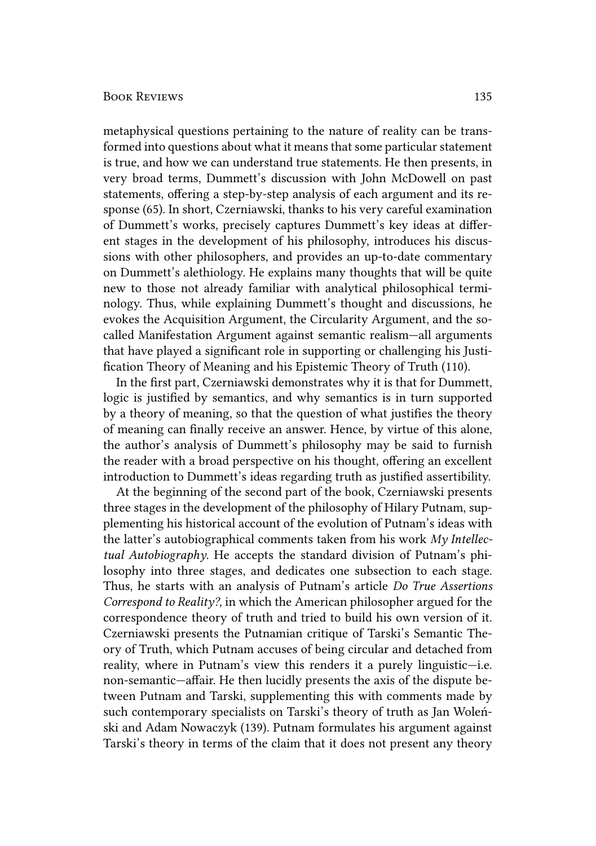## BOOK REVIEWS 135

metaphysical questions pertaining to the nature of reality can be transformed into questions about what it means that some particular statement is true, and how we can understand true statements. He then presents, in very broad terms, Dummett's discussion with John McDowell on past statements, offering a step-by-step analysis of each argument and its response (65). In short, Czerniawski, thanks to his very careful examination of Dummett's works, precisely captures Dummett's key ideas at different stages in the development of his philosophy, introduces his discussions with other philosophers, and provides an up-to-date commentary on Dummett's alethiology. He explains many thoughts that will be quite new to those not already familiar with analytical philosophical terminology. Thus, while explaining Dummett's thought and discussions, he evokes the Acquisition Argument, the Circularity Argument, and the socalled Manifestation Argument against semantic realism—all arguments that have played a significant role in supporting or challenging his Justification Theory of Meaning and his Epistemic Theory of Truth (110).

In the first part, Czerniawski demonstrates why it is that for Dummett, logic is justified by semantics, and why semantics is in turn supported by a theory of meaning, so that the question of what justifies the theory of meaning can finally receive an answer. Hence, by virtue of this alone, the author's analysis of Dummett's philosophy may be said to furnish the reader with a broad perspective on his thought, offering an excellent introduction to Dummett's ideas regarding truth as justified assertibility.

At the beginning of the second part of the book, Czerniawski presents three stages in the development of the philosophy of Hilary Putnam, supplementing his historical account of the evolution of Putnam's ideas with the latter's autobiographical comments taken from his work *My Intellectual Autobiography*. He accepts the standard division of Putnam's philosophy into three stages, and dedicates one subsection to each stage. Thus, he starts with an analysis of Putnam's article *Do True Assertions Correspond to Reality?*, in which the American philosopher argued for the correspondence theory of truth and tried to build his own version of it. Czerniawski presents the Putnamian critique of Tarski's Semantic Theory of Truth, which Putnam accuses of being circular and detached from reality, where in Putnam's view this renders it a purely linguistic—i.e. non-semantic—affair. He then lucidly presents the axis of the dispute between Putnam and Tarski, supplementing this with comments made by such contemporary specialists on Tarski's theory of truth as Jan Woleński and Adam Nowaczyk (139). Putnam formulates his argument against Tarski's theory in terms of the claim that it does not present any theory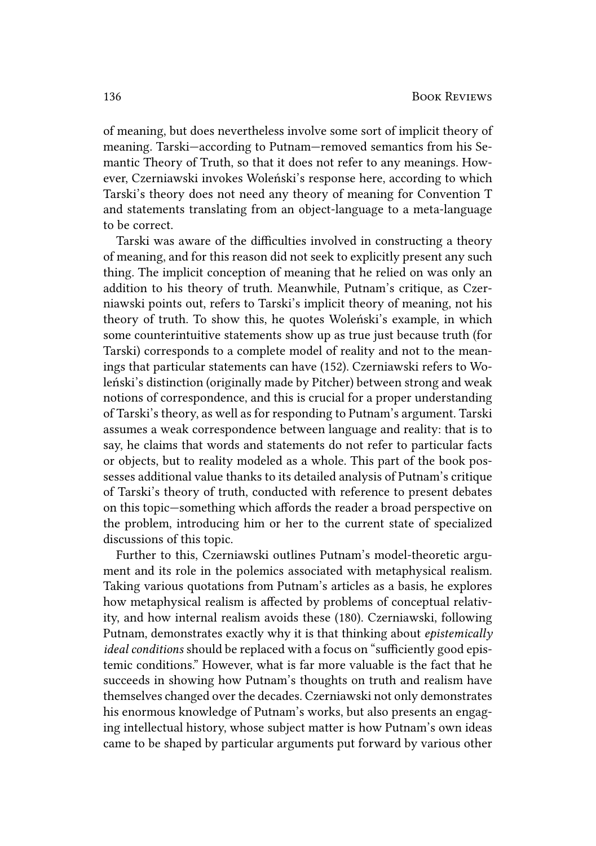of meaning, but does nevertheless involve some sort of implicit theory of meaning. Tarski—according to Putnam—removed semantics from his Semantic Theory of Truth, so that it does not refer to any meanings. However, Czerniawski invokes Woleński's response here, according to which Tarski's theory does not need any theory of meaning for Convention T and statements translating from an object-language to a meta-language to be correct.

Tarski was aware of the difficulties involved in constructing a theory of meaning, and for this reason did not seek to explicitly present any such thing. The implicit conception of meaning that he relied on was only an addition to his theory of truth. Meanwhile, Putnam's critique, as Czerniawski points out, refers to Tarski's implicit theory of meaning, not his theory of truth. To show this, he quotes Woleński's example, in which some counterintuitive statements show up as true just because truth (for Tarski) corresponds to a complete model of reality and not to the meanings that particular statements can have (152). Czerniawski refers to Woleński's distinction (originally made by Pitcher) between strong and weak notions of correspondence, and this is crucial for a proper understanding of Tarski's theory, as well as for responding to Putnam's argument. Tarski assumes a weak correspondence between language and reality: that is to say, he claims that words and statements do not refer to particular facts or objects, but to reality modeled as a whole. This part of the book possesses additional value thanks to its detailed analysis of Putnam's critique of Tarski's theory of truth, conducted with reference to present debates on this topic—something which affords the reader a broad perspective on the problem, introducing him or her to the current state of specialized discussions of this topic.

Further to this, Czerniawski outlines Putnam's model-theoretic argument and its role in the polemics associated with metaphysical realism. Taking various quotations from Putnam's articles as a basis, he explores how metaphysical realism is affected by problems of conceptual relativity, and how internal realism avoids these (180). Czerniawski, following Putnam, demonstrates exactly why it is that thinking about *epistemically ideal conditions* should be replaced with a focus on "sufficiently good epistemic conditions." However, what is far more valuable is the fact that he succeeds in showing how Putnam's thoughts on truth and realism have themselves changed over the decades. Czerniawski not only demonstrates his enormous knowledge of Putnam's works, but also presents an engaging intellectual history, whose subject matter is how Putnam's own ideas came to be shaped by particular arguments put forward by various other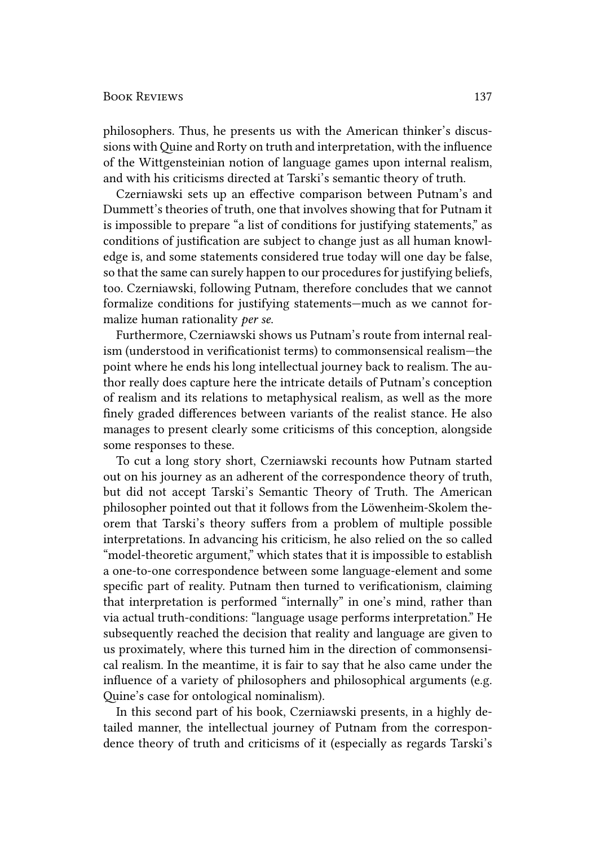## BOOK REVIEWS 137

philosophers. Thus, he presents us with the American thinker's discussions with Quine and Rorty on truth and interpretation, with the influence of the Wittgensteinian notion of language games upon internal realism, and with his criticisms directed at Tarski's semantic theory of truth.

Czerniawski sets up an effective comparison between Putnam's and Dummett's theories of truth, one that involves showing that for Putnam it is impossible to prepare "a list of conditions for justifying statements," as conditions of justification are subject to change just as all human knowledge is, and some statements considered true today will one day be false, so that the same can surely happen to our procedures for justifying beliefs, too. Czerniawski, following Putnam, therefore concludes that we cannot formalize conditions for justifying statements—much as we cannot formalize human rationality *per se*.

Furthermore, Czerniawski shows us Putnam's route from internal realism (understood in verificationist terms) to commonsensical realism—the point where he ends his long intellectual journey back to realism. The author really does capture here the intricate details of Putnam's conception of realism and its relations to metaphysical realism, as well as the more finely graded differences between variants of the realist stance. He also manages to present clearly some criticisms of this conception, alongside some responses to these.

To cut a long story short, Czerniawski recounts how Putnam started out on his journey as an adherent of the correspondence theory of truth, but did not accept Tarski's Semantic Theory of Truth. The American philosopher pointed out that it follows from the Löwenheim-Skolem theorem that Tarski's theory suffers from a problem of multiple possible interpretations. In advancing his criticism, he also relied on the so called "model-theoretic argument," which states that it is impossible to establish a one-to-one correspondence between some language-element and some specific part of reality. Putnam then turned to verificationism, claiming that interpretation is performed "internally" in one's mind, rather than via actual truth-conditions: "language usage performs interpretation." He subsequently reached the decision that reality and language are given to us proximately, where this turned him in the direction of commonsensical realism. In the meantime, it is fair to say that he also came under the influence of a variety of philosophers and philosophical arguments (e.g. Quine's case for ontological nominalism).

In this second part of his book, Czerniawski presents, in a highly detailed manner, the intellectual journey of Putnam from the correspondence theory of truth and criticisms of it (especially as regards Tarski's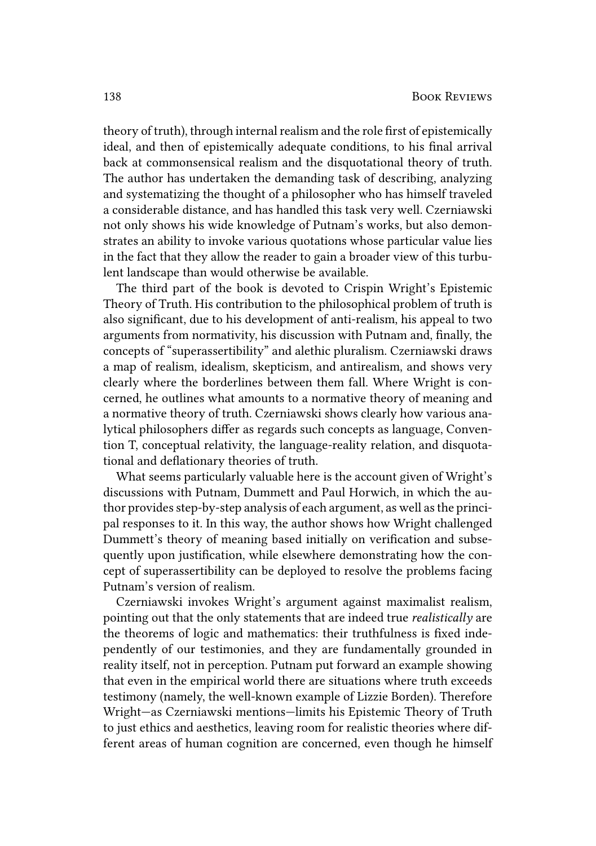theory of truth), through internal realism and the role first of epistemically ideal, and then of epistemically adequate conditions, to his final arrival back at commonsensical realism and the disquotational theory of truth. The author has undertaken the demanding task of describing, analyzing and systematizing the thought of a philosopher who has himself traveled a considerable distance, and has handled this task very well. Czerniawski not only shows his wide knowledge of Putnam's works, but also demonstrates an ability to invoke various quotations whose particular value lies in the fact that they allow the reader to gain a broader view of this turbulent landscape than would otherwise be available.

The third part of the book is devoted to Crispin Wright's Epistemic Theory of Truth. His contribution to the philosophical problem of truth is also significant, due to his development of anti-realism, his appeal to two arguments from normativity, his discussion with Putnam and, finally, the concepts of "superassertibility" and alethic pluralism. Czerniawski draws a map of realism, idealism, skepticism, and antirealism, and shows very clearly where the borderlines between them fall. Where Wright is concerned, he outlines what amounts to a normative theory of meaning and a normative theory of truth. Czerniawski shows clearly how various analytical philosophers differ as regards such concepts as language, Convention T, conceptual relativity, the language-reality relation, and disquotational and deflationary theories of truth.

What seems particularly valuable here is the account given of Wright's discussions with Putnam, Dummett and Paul Horwich, in which the author provides step-by-step analysis of each argument, as well as the principal responses to it. In this way, the author shows how Wright challenged Dummett's theory of meaning based initially on verification and subsequently upon justification, while elsewhere demonstrating how the concept of superassertibility can be deployed to resolve the problems facing Putnam's version of realism.

Czerniawski invokes Wright's argument against maximalist realism, pointing out that the only statements that are indeed true *realistically* are the theorems of logic and mathematics: their truthfulness is fixed independently of our testimonies, and they are fundamentally grounded in reality itself, not in perception. Putnam put forward an example showing that even in the empirical world there are situations where truth exceeds testimony (namely, the well-known example of Lizzie Borden). Therefore Wright—as Czerniawski mentions—limits his Epistemic Theory of Truth to just ethics and aesthetics, leaving room for realistic theories where different areas of human cognition are concerned, even though he himself